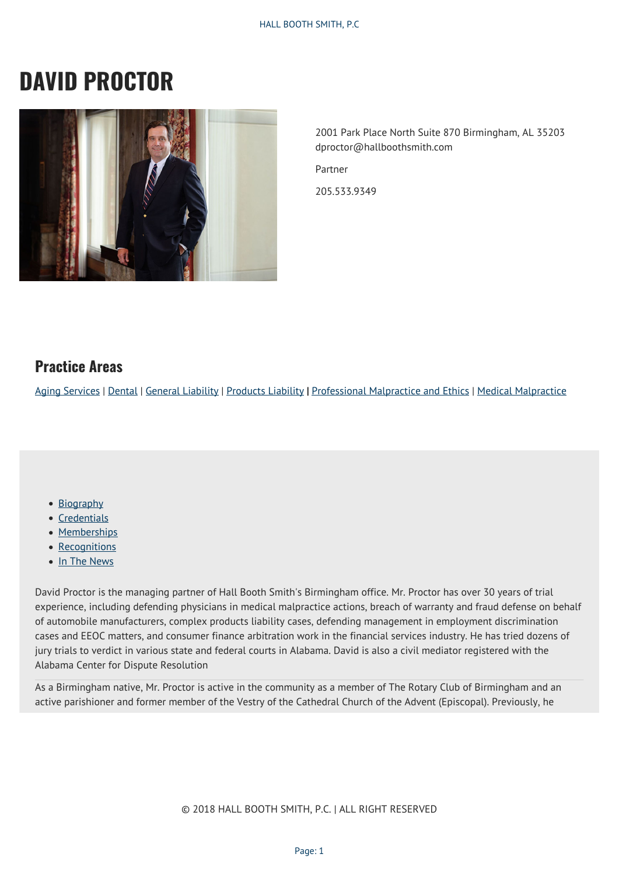# **DAVID PROCTOR**



2001 Park Place North Suite 870 Birmingham, AL 35203 dproctor@hallboothsmith.com

Partner

205.533.9349

### **Practice Areas**

[Aging Services](http://hallboothsmith.com/page/aging-services/) | [Dental](http://hallboothsmith.com/page/dental/) | [General Liability](http://hallboothsmith.com/practice-areas/general-liability/) | [Products Liability](http://hallboothsmith.com/practice-areas/products-liability/) **|** [Professional Malpractice and Ethics](http://hallboothsmith.com/practice-areas/professional-malpractice-and-ethics/) | [Medical Malpractice](http://hallboothsmith.com/page/professional-negligence-medical-malpractice/)

- [Biography](#page--1-0)
- [Credentials](#page--1-0)
- [Memberships](#page--1-0)
- [Recognitions](#page--1-0)
- [In The News](#page--1-0)

David Proctor is the managing partner of Hall Booth Smith's Birmingham office. Mr. Proctor has over 30 years of trial experience, including defending physicians in medical malpractice actions, breach of warranty and fraud defense on behalf of automobile manufacturers, complex products liability cases, defending management in employment discrimination cases and EEOC matters, and consumer finance arbitration work in the financial services industry. He has tried dozens of jury trials to verdict in various state and federal courts in Alabama. David is also a civil mediator registered with the Alabama Center for Dispute Resolution

As a Birmingham native, Mr. Proctor is active in the community as a member of The Rotary Club of Birmingham and an active parishioner and former member of the Vestry of the Cathedral Church of the Advent (Episcopal). Previously, he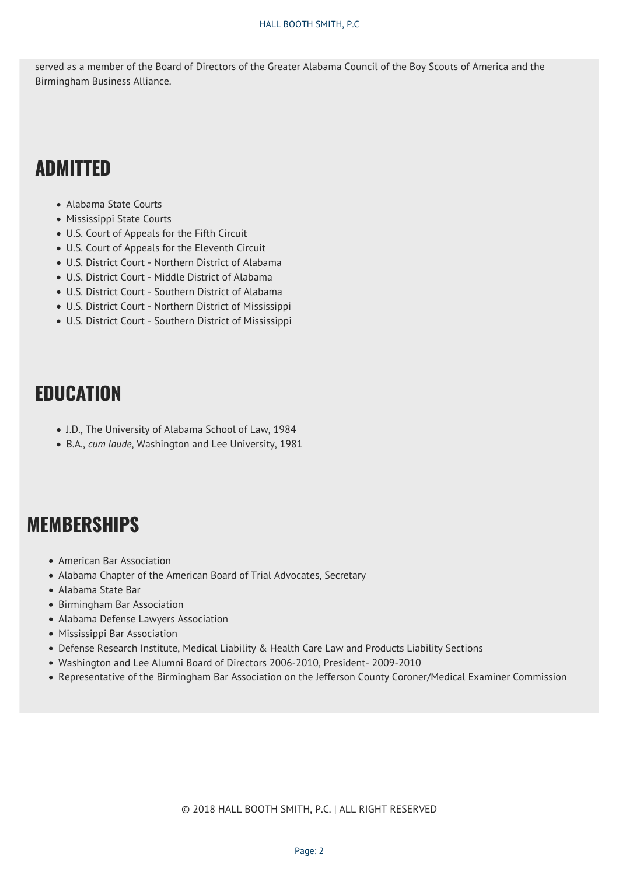served as a member of the Board of Directors of the Greater Alabama Council of the Boy Scouts of America and the Birmingham Business Alliance.

## **ADMITTED**

- Alabama State Courts
- Mississippi State Courts
- U.S. Court of Appeals for the Fifth Circuit
- U.S. Court of Appeals for the Eleventh Circuit
- U.S. District Court Northern District of Alabama
- U.S. District Court Middle District of Alabama
- U.S. District Court Southern District of Alabama
- U.S. District Court Northern District of Mississippi
- U.S. District Court Southern District of Mississippi

## **EDUCATION**

- J.D., The University of Alabama School of Law, 1984
- B.A., *cum laude*, Washington and Lee University, 1981

## **MEMBERSHIPS**

- American Bar Association
- Alabama Chapter of the American Board of Trial Advocates, Secretary
- Alabama State Bar
- Birmingham Bar Association
- Alabama Defense Lawyers Association
- Mississippi Bar Association
- Defense Research Institute, Medical Liability & Health Care Law and Products Liability Sections
- Washington and Lee Alumni Board of Directors 2006-2010, President- 2009-2010
- Representative of the Birmingham Bar Association on the Jefferson County Coroner/Medical Examiner Commission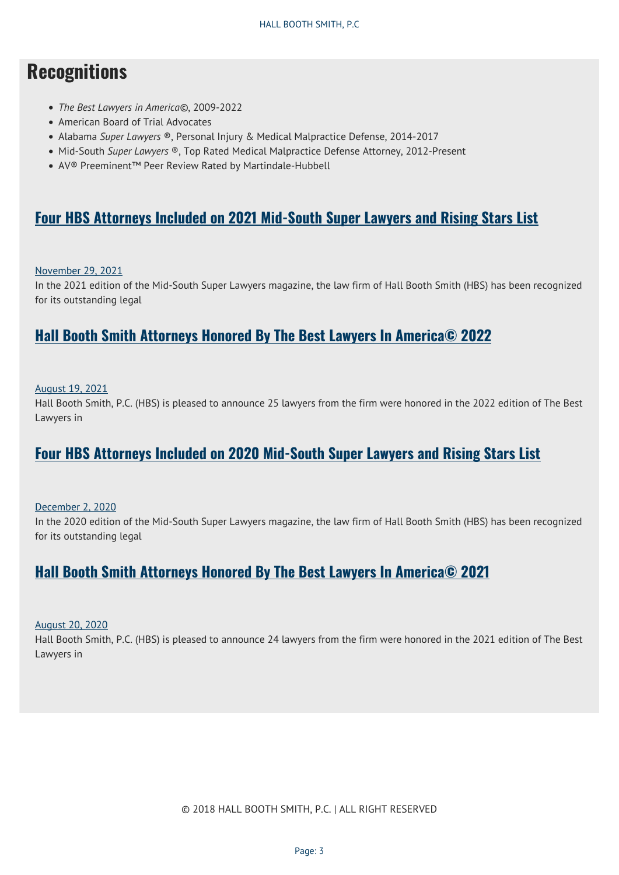## **Recognitions**

- *The Best Lawyers in America©*, 2009-2022
- American Board of Trial Advocates
- Alabama *Super Lawyers* ®, Personal Injury & Medical Malpractice Defense, 2014-2017
- Mid-South *Super Lawyers* ®, Top Rated Medical Malpractice Defense Attorney, 2012-Present
- AV® Preeminent™ Peer Review Rated by Martindale-Hubbell

### **[Four HBS Attorneys Included on 2021 Mid-South Super Lawyers and Rising Stars List](https://hallboothsmith.com/four-hbs-attorneys-included-on-2021-mid-south-super-lawyers-and-rising-stars-list/)**

#### [November 29, 2021](https://hallboothsmith.com/2021/11/)

In the 2021 edition of the Mid-South Super Lawyers magazine, the law firm of Hall Booth Smith (HBS) has been recognized for its outstanding legal

### **[Hall Booth Smith Attorneys Honored By The Best Lawyers In America© 2022](https://hallboothsmith.com/hall-booth-smith-attorneys-honored-by-the-best-lawyers-in-america-2022/)**

#### [August 19, 2021](https://hallboothsmith.com/2021/08/)

Hall Booth Smith, P.C. (HBS) is pleased to announce 25 lawyers from the firm were honored in the 2022 edition of The Best Lawyers in

## **[Four HBS Attorneys Included on 2020 Mid-South Super Lawyers and Rising Stars List](https://hallboothsmith.com/four-hbs-attorneys-included-on-2020-mid-south-super-lawyers-and-rising-stars-list/)**

[December 2, 2020](https://hallboothsmith.com/2020/12/)

In the 2020 edition of the Mid-South Super Lawyers magazine, the law firm of Hall Booth Smith (HBS) has been recognized for its outstanding legal

### **[Hall Booth Smith Attorneys Honored By The Best Lawyers In America© 2021](https://hallboothsmith.com/hall-booth-smith-attorneys-honored-by-the-best-lawyers-in-america-2021/)**

[August 20, 2020](https://hallboothsmith.com/2020/08/)

Hall Booth Smith, P.C. (HBS) is pleased to announce 24 lawyers from the firm were honored in the 2021 edition of The Best Lawyers in

© 2018 HALL BOOTH SMITH, P.C. | ALL RIGHT RESERVED